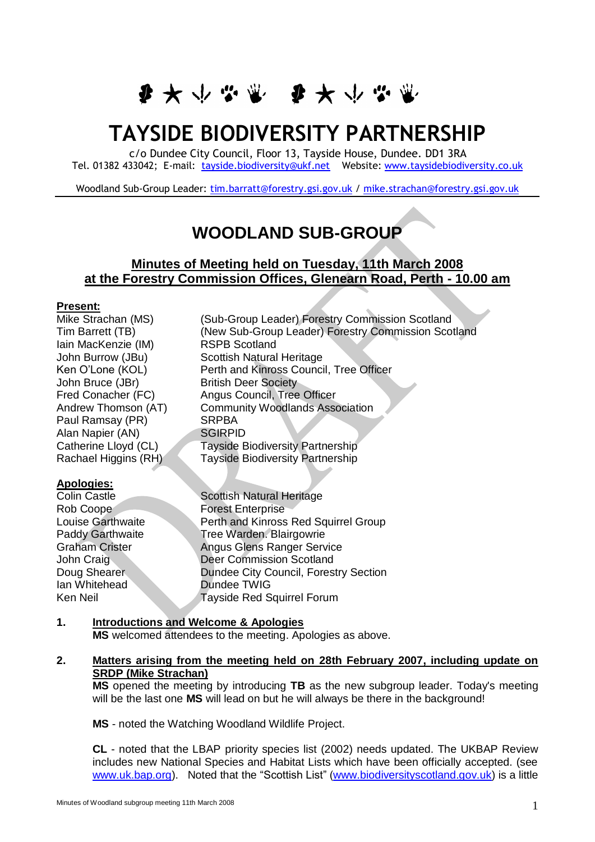■ ★ 少 必 幽 ● ★ 少 必 ヾ

# **TAYSIDE BIODIVERSITY PARTNERSHIP**

c/o Dundee City Council, Floor 13, Tayside House, Dundee. DD1 3RA Tel. 01382 433042; E-mail: [tayside.biodiversity@ukf.net](mailto:tayside.biodiversity@ukf.net)  Website[: www.taysidebiodiversity.co.uk](http://www.taysidebiodiversity.co.uk/)

Woodland Sub-Group Leader: [tim.barratt@forestry.gsi.gov.uk](mailto:tim.barratt@forestry.gsi.gov.uk) / [mike.strachan@forestry.gsi.gov.uk](mailto:mike.strachan@forestry.gsi.gov.uk)

# **WOODLAND SUB-GROUP**

# **Minutes of Meeting held on Tuesday, 11th March 2008 at the Forestry Commission Offices, Glenearn Road, Perth - 10.00 am**

#### **Present:**

Mike Strachan (MS) (Sub-Group Leader) Forestry Commission Scotland Tim Barrett (TB) (New Sub-Group Leader) Forestry Commission Scotland Iain MacKenzie (IM) RSPB Scotland John Burrow (JBu) Scottish Natural Heritage<br>
Ken O'Lone (KOL) Perth and Kinross Counci Perth and Kinross Council, Tree Officer John Bruce (JBr) British Deer Society Fred Conacher (FC) Angus Council, Tree Officer Andrew Thomson (AT) Community Woodlands Association Paul Ramsay (PR) SRPBA Alan Napier (AN) SGIRPID Catherine Lloyd (CL) Tayside Biodiversity Partnership Rachael Higgins (RH) Tayside Biodiversity Partnership

#### **Apologies:**

Ian Whitehead

Colin Castle **Scottish Natural Heritage** Rob Coope **Forest Enterprise** Louise Garthwaite **Perth and Kinross Red Squirrel Group** Paddy Garthwaite **Tree Warden. Blairgowrie** Graham Crister **Angus Glens Ranger Service** John Craig Deer Commission Scotland Doug Shearer Dundee City Council, Forestry Section<br>
Ian Whitehead Dundee TWIG Ken Neil Tayside Red Squirrel Forum

# **1. Introductions and Welcome & Apologies MS** welcomed attendees to the meeting. Apologies as above.

#### **2. Matters arising from the meeting held on 28th February 2007, including update on SRDP (Mike Strachan)**

**MS** opened the meeting by introducing **TB** as the new subgroup leader. Today's meeting will be the last one **MS** will lead on but he will always be there in the background!

**MS** - noted the Watching Woodland Wildlife Project.

**CL** - noted that the LBAP priority species list (2002) needs updated. The UKBAP Review includes new National Species and Habitat Lists which have been officially accepted. (see [www.uk.bap.org\)](http://www.uk.bap.org/). Noted that the "Scottish List" [\(www.biodiversityscotland.gov.uk\)](http://www.biodiversityscotland.gov.uk/) is a little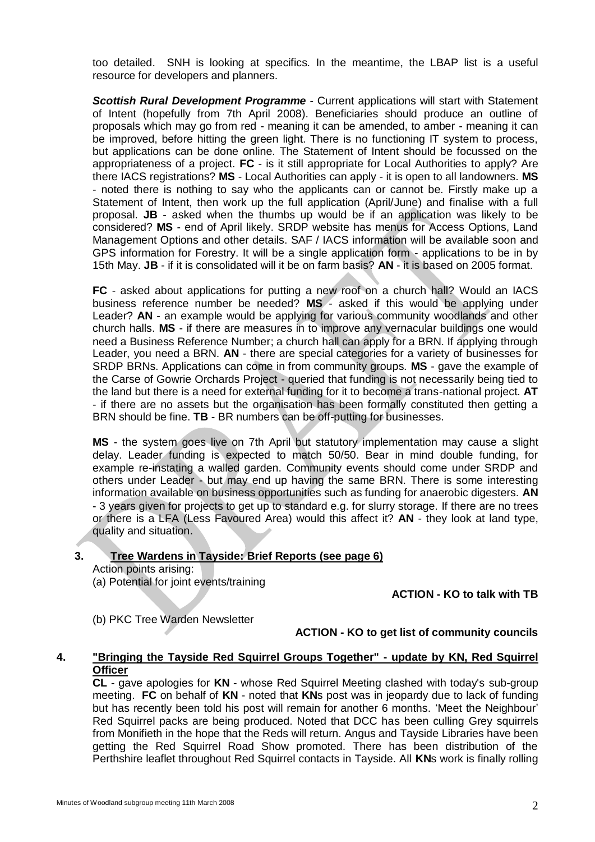too detailed. SNH is looking at specifics. In the meantime, the LBAP list is a useful resource for developers and planners.

*Scottish Rural Development Programme* - Current applications will start with Statement of Intent (hopefully from 7th April 2008). Beneficiaries should produce an outline of proposals which may go from red - meaning it can be amended, to amber - meaning it can be improved, before hitting the green light. There is no functioning IT system to process, but applications can be done online. The Statement of Intent should be focussed on the appropriateness of a project. **FC** - is it still appropriate for Local Authorities to apply? Are there IACS registrations? **MS** - Local Authorities can apply - it is open to all landowners. **MS** - noted there is nothing to say who the applicants can or cannot be. Firstly make up a Statement of Intent, then work up the full application (April/June) and finalise with a full proposal. **JB** - asked when the thumbs up would be if an application was likely to be considered? **MS** - end of April likely. SRDP website has menus for Access Options, Land Management Options and other details. SAF / IACS information will be available soon and GPS information for Forestry. It will be a single application form - applications to be in by 15th May. **JB** - if it is consolidated will it be on farm basis? **AN** - it is based on 2005 format.

**FC** - asked about applications for putting a new roof on a church hall? Would an IACS business reference number be needed? **MS** - asked if this would be applying under Leader? **AN** - an example would be applying for various community woodlands and other church halls. **MS** - if there are measures in to improve any vernacular buildings one would need a Business Reference Number; a church hall can apply for a BRN. If applying through Leader, you need a BRN. **AN** - there are special categories for a variety of businesses for SRDP BRNs. Applications can come in from community groups. **MS** - gave the example of the Carse of Gowrie Orchards Project - queried that funding is not necessarily being tied to the land but there is a need for external funding for it to become a trans-national project. **AT** - if there are no assets but the organisation has been formally constituted then getting a BRN should be fine. **TB** - BR numbers can be off-putting for businesses.

**MS** - the system goes live on 7th April but statutory implementation may cause a slight delay. Leader funding is expected to match 50/50. Bear in mind double funding, for example re-instating a walled garden. Community events should come under SRDP and others under Leader - but may end up having the same BRN. There is some interesting information available on business opportunities such as funding for anaerobic digesters. **AN** - 3 years given for projects to get up to standard e.g. for slurry storage. If there are no trees or there is a LFA (Less Favoured Area) would this affect it? **AN** - they look at land type, quality and situation.

#### **3. Tree Wardens in Tayside: Brief Reports (see page 6)**

Action points arising:

(a) Potential for joint events/training

**ACTION - KO to talk with TB**

(b) PKC Tree Warden Newsletter

#### **ACTION - KO to get list of community councils**

#### **4. "Bringing the Tayside Red Squirrel Groups Together" - update by KN, Red Squirrel Officer**

**CL** - gave apologies for **KN** - whose Red Squirrel Meeting clashed with today's sub-group meeting. **FC** on behalf of **KN** - noted that **KN**s post was in jeopardy due to lack of funding but has recently been told his post will remain for another 6 months. "Meet the Neighbour" Red Squirrel packs are being produced. Noted that DCC has been culling Grey squirrels from Monifieth in the hope that the Reds will return. Angus and Tayside Libraries have been getting the Red Squirrel Road Show promoted. There has been distribution of the Perthshire leaflet throughout Red Squirrel contacts in Tayside. All **KN**s work is finally rolling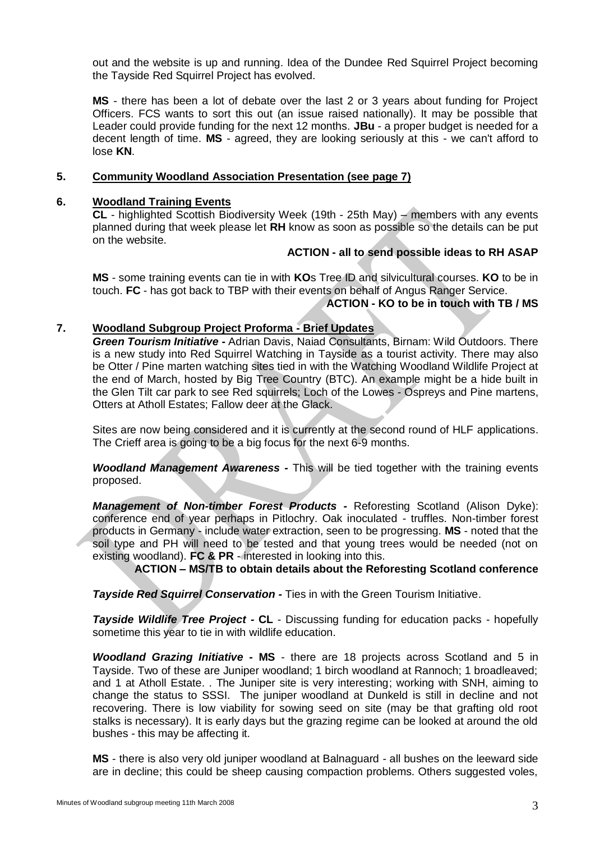out and the website is up and running. Idea of the Dundee Red Squirrel Project becoming the Tayside Red Squirrel Project has evolved.

**MS** - there has been a lot of debate over the last 2 or 3 years about funding for Project Officers. FCS wants to sort this out (an issue raised nationally). It may be possible that Leader could provide funding for the next 12 months. **JBu** - a proper budget is needed for a decent length of time. **MS** - agreed, they are looking seriously at this - we can't afford to lose **KN**.

#### **5. Community Woodland Association Presentation (see page 7)**

#### **6. Woodland Training Events**

**CL** - highlighted Scottish Biodiversity Week (19th - 25th May) – members with any events planned during that week please let **RH** know as soon as possible so the details can be put on the website.

# **ACTION - all to send possible ideas to RH ASAP**

**MS** - some training events can tie in with **KO**s Tree ID and silvicultural courses. **KO** to be in touch. **FC** - has got back to TBP with their events on behalf of Angus Ranger Service.

# **ACTION - KO to be in touch with TB / MS**

# **7. Woodland Subgroup Project Proforma - Brief Updates**

*Green Tourism Initiative -* Adrian Davis, Naiad Consultants, Birnam: Wild Outdoors. There is a new study into Red Squirrel Watching in Tayside as a tourist activity. There may also be Otter / Pine marten watching sites tied in with the Watching Woodland Wildlife Project at the end of March, hosted by Big Tree Country (BTC). An example might be a hide built in the Glen Tilt car park to see Red squirrels; Loch of the Lowes - Ospreys and Pine martens, Otters at Atholl Estates; Fallow deer at the Glack.

Sites are now being considered and it is currently at the second round of HLF applications. The Crieff area is going to be a big focus for the next 6-9 months.

*Woodland Management Awareness -* This will be tied together with the training events proposed.

*Management of Non-timber Forest Products -* Reforesting Scotland (Alison Dyke): conference end of year perhaps in Pitlochry. Oak inoculated - truffles. Non-timber forest products in Germany - include water extraction, seen to be progressing. **MS** - noted that the soil type and PH will need to be tested and that young trees would be needed (not on existing woodland). **FC & PR** - interested in looking into this.

**ACTION – MS/TB to obtain details about the Reforesting Scotland conference**

*Tayside Red Squirrel Conservation -* Ties in with the Green Tourism Initiative.

*Tayside Wildlife Tree Project -* **CL** - Discussing funding for education packs - hopefully sometime this year to tie in with wildlife education.

*Woodland Grazing Initiative -* **MS** - there are 18 projects across Scotland and 5 in Tayside. Two of these are Juniper woodland; 1 birch woodland at Rannoch; 1 broadleaved; and 1 at Atholl Estate. . The Juniper site is very interesting; working with SNH, aiming to change the status to SSSI. The juniper woodland at Dunkeld is still in decline and not recovering. There is low viability for sowing seed on site (may be that grafting old root stalks is necessary). It is early days but the grazing regime can be looked at around the old bushes - this may be affecting it.

**MS** - there is also very old juniper woodland at Balnaguard - all bushes on the leeward side are in decline; this could be sheep causing compaction problems. Others suggested voles,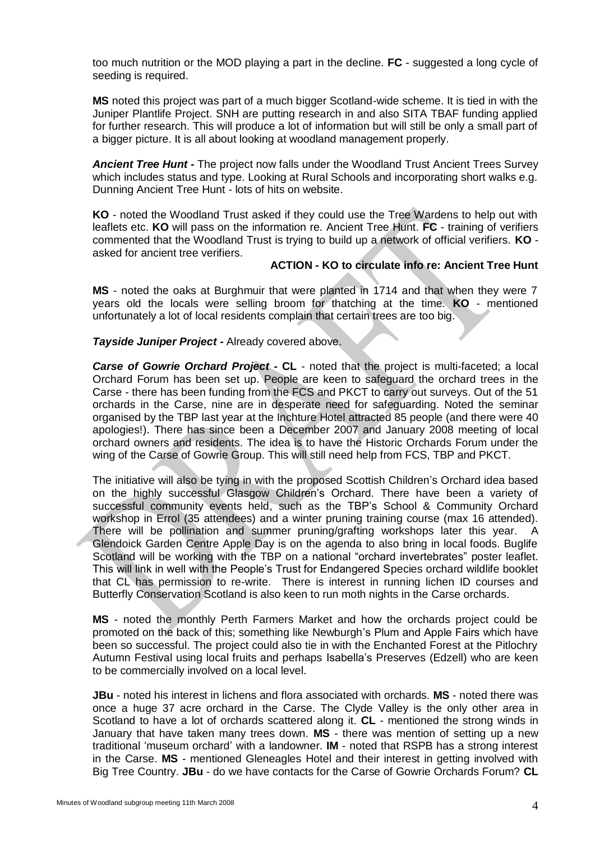too much nutrition or the MOD playing a part in the decline. **FC** - suggested a long cycle of seeding is required.

**MS** noted this project was part of a much bigger Scotland-wide scheme. It is tied in with the Juniper Plantlife Project. SNH are putting research in and also SITA TBAF funding applied for further research. This will produce a lot of information but will still be only a small part of a bigger picture. It is all about looking at woodland management properly.

*Ancient Tree Hunt -* The project now falls under the Woodland Trust Ancient Trees Survey which includes status and type. Looking at Rural Schools and incorporating short walks e.g. Dunning Ancient Tree Hunt - lots of hits on website.

**KO** - noted the Woodland Trust asked if they could use the Tree Wardens to help out with leaflets etc. **KO** will pass on the information re. Ancient Tree Hunt. **FC** - training of verifiers commented that the Woodland Trust is trying to build up a network of official verifiers. **KO** asked for ancient tree verifiers.

# **ACTION - KO to circulate info re: Ancient Tree Hunt**

**MS** - noted the oaks at Burghmuir that were planted in 1714 and that when they were 7 years old the locals were selling broom for thatching at the time. **KO** - mentioned unfortunately a lot of local residents complain that certain trees are too big.

#### *Tayside Juniper Project -* Already covered above.

*Carse of Gowrie Orchard Project -* **CL** - noted that the project is multi-faceted; a local Orchard Forum has been set up. People are keen to safeguard the orchard trees in the Carse - there has been funding from the FCS and PKCT to carry out surveys. Out of the 51 orchards in the Carse, nine are in desperate need for safeguarding. Noted the seminar organised by the TBP last year at the Inchture Hotel attracted 85 people (and there were 40 apologies!). There has since been a December 2007 and January 2008 meeting of local orchard owners and residents. The idea is to have the Historic Orchards Forum under the wing of the Carse of Gowrie Group. This will still need help from FCS, TBP and PKCT.

The initiative will also be tying in with the proposed Scottish Children"s Orchard idea based on the highly successful Glasgow Children"s Orchard. There have been a variety of successful community events held, such as the TBP"s School & Community Orchard workshop in Errol (35 attendees) and a winter pruning training course (max 16 attended). There will be pollination and summer pruning/grafting workshops later this year. A Glendoick Garden Centre Apple Day is on the agenda to also bring in local foods. Buglife Scotland will be working with the TBP on a national "orchard invertebrates" poster leaflet. This will link in well with the People"s Trust for Endangered Species orchard wildlife booklet that CL has permission to re-write. There is interest in running lichen ID courses and Butterfly Conservation Scotland is also keen to run moth nights in the Carse orchards.

**MS** - noted the monthly Perth Farmers Market and how the orchards project could be promoted on the back of this; something like Newburgh"s Plum and Apple Fairs which have been so successful. The project could also tie in with the Enchanted Forest at the Pitlochry Autumn Festival using local fruits and perhaps Isabella"s Preserves (Edzell) who are keen to be commercially involved on a local level.

**JBu** - noted his interest in lichens and flora associated with orchards. **MS** - noted there was once a huge 37 acre orchard in the Carse. The Clyde Valley is the only other area in Scotland to have a lot of orchards scattered along it. **CL** - mentioned the strong winds in January that have taken many trees down. **MS** - there was mention of setting up a new traditional "museum orchard" with a landowner. **IM** - noted that RSPB has a strong interest in the Carse. **MS** - mentioned Gleneagles Hotel and their interest in getting involved with Big Tree Country. **JBu** - do we have contacts for the Carse of Gowrie Orchards Forum? **CL**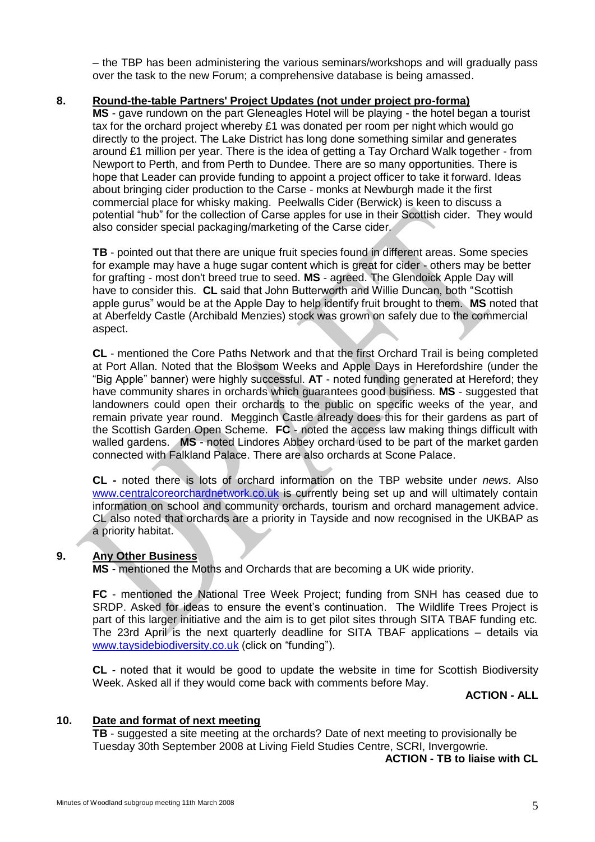– the TBP has been administering the various seminars/workshops and will gradually pass over the task to the new Forum; a comprehensive database is being amassed.

# **8. Round-the-table Partners' Project Updates (not under project pro-forma)**

**MS** - gave rundown on the part Gleneagles Hotel will be playing - the hotel began a tourist tax for the orchard project whereby £1 was donated per room per night which would go directly to the project. The Lake District has long done something similar and generates around £1 million per year. There is the idea of getting a Tay Orchard Walk together - from Newport to Perth, and from Perth to Dundee. There are so many opportunities. There is hope that Leader can provide funding to appoint a project officer to take it forward. Ideas about bringing cider production to the Carse - monks at Newburgh made it the first commercial place for whisky making. Peelwalls Cider (Berwick) is keen to discuss a potential "hub" for the collection of Carse apples for use in their Scottish cider. They would also consider special packaging/marketing of the Carse cider.

**TB** - pointed out that there are unique fruit species found in different areas. Some species for example may have a huge sugar content which is great for cider - others may be better for grafting - most don't breed true to seed. **MS** - agreed. The Glendoick Apple Day will have to consider this. **CL** said that John Butterworth and Willie Duncan, both "Scottish apple gurus" would be at the Apple Day to help identify fruit brought to them. **MS** noted that at Aberfeldy Castle (Archibald Menzies) stock was grown on safely due to the commercial aspect.

**CL** - mentioned the Core Paths Network and that the first Orchard Trail is being completed at Port Allan. Noted that the Blossom Weeks and Apple Days in Herefordshire (under the "Big Apple" banner) were highly successful. **AT** - noted funding generated at Hereford; they have community shares in orchards which guarantees good business. **MS** - suggested that landowners could open their orchards to the public on specific weeks of the year, and remain private year round. Megginch Castle already does this for their gardens as part of the Scottish Garden Open Scheme. **FC** - noted the access law making things difficult with walled gardens. **MS** - noted Lindores Abbey orchard used to be part of the market garden connected with Falkland Palace. There are also orchards at Scone Palace.

**CL -** noted there is lots of orchard information on the TBP website under *news*. Also [www.centralcoreorchardnetwork.co.uk](http://www.centralcoreorchardnetwork.co.uk/) is currently being set up and will ultimately contain information on school and community orchards, tourism and orchard management advice. CL also noted that orchards are a priority in Tayside and now recognised in the UKBAP as a priority habitat.

# **9. Any Other Business**

**MS** - mentioned the Moths and Orchards that are becoming a UK wide priority.

**FC** - mentioned the National Tree Week Project; funding from SNH has ceased due to SRDP. Asked for ideas to ensure the event's continuation. The Wildlife Trees Project is part of this larger initiative and the aim is to get pilot sites through SITA TBAF funding etc. The 23rd April is the next quarterly deadline for SITA TBAF applications – details via [www.taysidebiodiversity.co.uk](http://www.taysidebiodiversity.co.uk/) (click on "funding").

**CL** - noted that it would be good to update the website in time for Scottish Biodiversity Week. Asked all if they would come back with comments before May.

**ACTION - ALL** 

# **10. Date and format of next meeting**

**TB** - suggested a site meeting at the orchards? Date of next meeting to provisionally be Tuesday 30th September 2008 at Living Field Studies Centre, SCRI, Invergowrie.

**ACTION - TB to liaise with CL**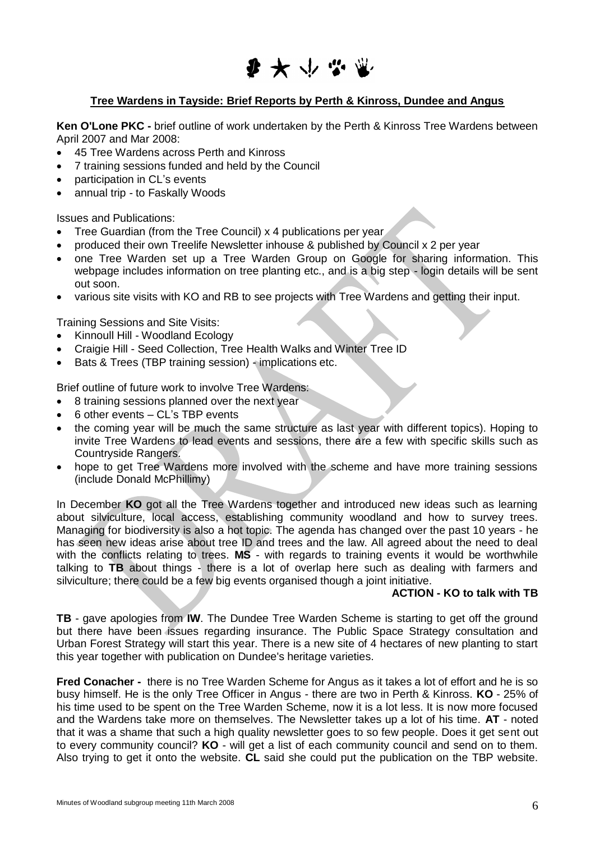

# **Tree Wardens in Tayside: Brief Reports by Perth & Kinross, Dundee and Angus**

**Ken O'Lone PKC -** brief outline of work undertaken by the Perth & Kinross Tree Wardens between April 2007 and Mar 2008:

- 45 Tree Wardens across Perth and Kinross
- 7 training sessions funded and held by the Council
- participation in CL"s events
- annual trip to Faskally Woods

Issues and Publications:

- Tree Guardian (from the Tree Council) x 4 publications per year
- produced their own Treelife Newsletter inhouse & published by Council x 2 per year
- one Tree Warden set up a Tree Warden Group on Google for sharing information. This webpage includes information on tree planting etc., and is a big step - login details will be sent out soon.
- various site visits with KO and RB to see projects with Tree Wardens and getting their input.

Training Sessions and Site Visits:

- Kinnoull Hill Woodland Ecology
- Craigie Hill Seed Collection, Tree Health Walks and Winter Tree ID
- Bats & Trees (TBP training session) implications etc.

Brief outline of future work to involve Tree Wardens:

- 8 training sessions planned over the next year
- 6 other events CL"s TBP events
- the coming year will be much the same structure as last year with different topics). Hoping to invite Tree Wardens to lead events and sessions, there are a few with specific skills such as Countryside Rangers.
- hope to get Tree Wardens more involved with the scheme and have more training sessions (include Donald McPhillimy)

In December **KO** got all the Tree Wardens together and introduced new ideas such as learning about silviculture, local access, establishing community woodland and how to survey trees. Managing for biodiversity is also a hot topic. The agenda has changed over the past 10 years - he has seen new ideas arise about tree ID and trees and the law. All agreed about the need to deal with the conflicts relating to trees. **MS** - with regards to training events it would be worthwhile talking to **TB** about things - there is a lot of overlap here such as dealing with farmers and silviculture; there could be a few big events organised though a joint initiative.

#### **ACTION - KO to talk with TB**

**TB** - gave apologies from **IW**. The Dundee Tree Warden Scheme is starting to get off the ground but there have been issues regarding insurance. The Public Space Strategy consultation and Urban Forest Strategy will start this year. There is a new site of 4 hectares of new planting to start this year together with publication on Dundee's heritage varieties.

**Fred Conacher -** there is no Tree Warden Scheme for Angus as it takes a lot of effort and he is so busy himself. He is the only Tree Officer in Angus - there are two in Perth & Kinross. **KO** - 25% of his time used to be spent on the Tree Warden Scheme, now it is a lot less. It is now more focused and the Wardens take more on themselves. The Newsletter takes up a lot of his time. **AT** - noted that it was a shame that such a high quality newsletter goes to so few people. Does it get sent out to every community council? **KO** - will get a list of each community council and send on to them. Also trying to get it onto the website. **CL** said she could put the publication on the TBP website.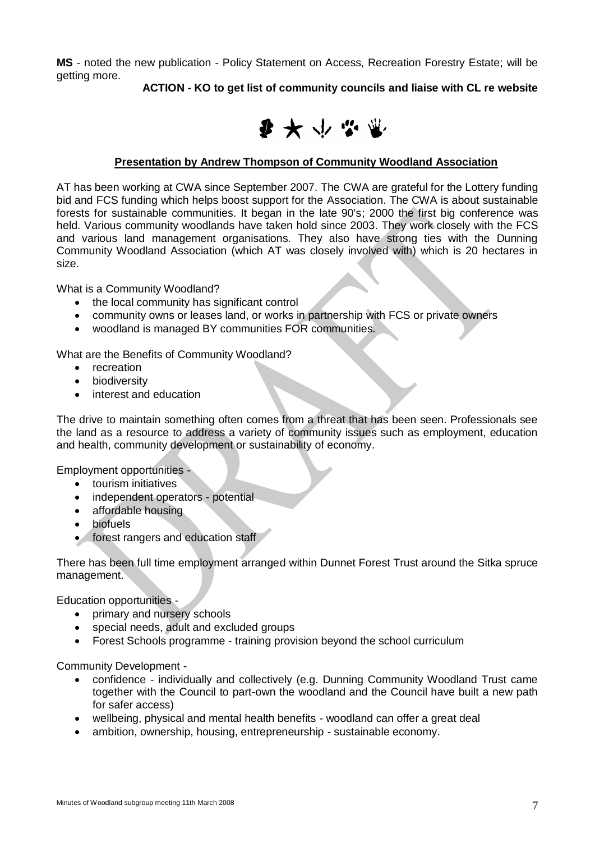**MS** - noted the new publication - Policy Statement on Access, Recreation Forestry Estate; will be getting more.

**ACTION - KO to get list of community councils and liaise with CL re website**



# **Presentation by Andrew Thompson of Community Woodland Association**

AT has been working at CWA since September 2007. The CWA are grateful for the Lottery funding bid and FCS funding which helps boost support for the Association. The CWA is about sustainable forests for sustainable communities. It began in the late 90's; 2000 the first big conference was held. Various community woodlands have taken hold since 2003. They work closely with the FCS and various land management organisations. They also have strong ties with the Dunning Community Woodland Association (which AT was closely involved with) which is 20 hectares in size.

What is a Community Woodland?

- the local community has significant control
- community owns or leases land, or works in partnership with FCS or private owners
- woodland is managed BY communities FOR communities.

What are the Benefits of Community Woodland?

- recreation
- **•** biodiversity
- interest and education

The drive to maintain something often comes from a threat that has been seen. Professionals see the land as a resource to address a variety of community issues such as employment, education and health, community development or sustainability of economy.

Employment opportunities -

- tourism initiatives
- independent operators potential
- affordable housing
- biofuels
- **•** forest rangers and education staff

There has been full time employment arranged within Dunnet Forest Trust around the Sitka spruce management.

Education opportunities -

- primary and nursery schools
- special needs, adult and excluded groups
- Forest Schools programme training provision beyond the school curriculum

Community Development -

- confidence individually and collectively (e.g. Dunning Community Woodland Trust came together with the Council to part-own the woodland and the Council have built a new path for safer access)
- wellbeing, physical and mental health benefits woodland can offer a great deal
- ambition, ownership, housing, entrepreneurship sustainable economy.